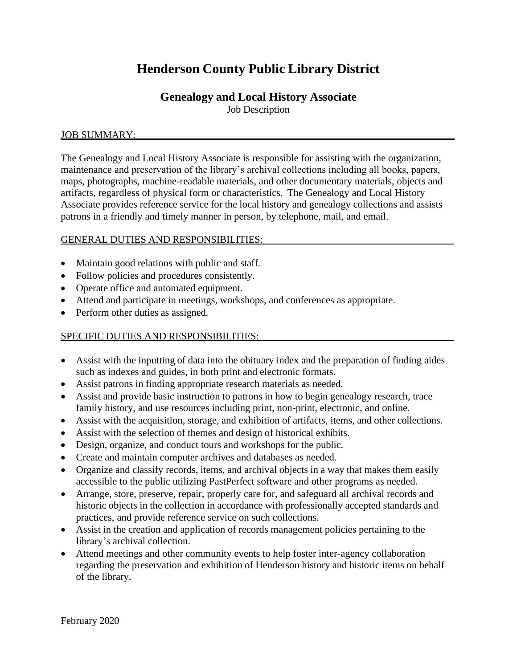# **Henderson County Public Library District**

# **Genealogy and Local History Associate**

Job Description

# JOB SUMMARY:

The Genealogy and Local History Associate is responsible for assisting with the organization, maintenance and preservation of the library's archival collections including all books, papers, maps, photographs, machine-readable materials, and other documentary materials, objects and artifacts, regardless of physical form or characteristics. The Genealogy and Local History Associate provides reference service for the local history and genealogy collections and assists patrons in a friendly and timely manner in person, by telephone, mail, and email.

# GENERAL DUTIES AND RESPONSIBILITIES:

- Maintain good relations with public and staff.
- Follow policies and procedures consistently.
- Operate office and automated equipment.
- Attend and participate in meetings, workshops, and conferences as appropriate.
- Perform other duties as assigned.

# SPECIFIC DUTIES AND RESPONSIBILITIES:

- Assist with the inputting of data into the obituary index and the preparation of finding aides such as indexes and guides, in both print and electronic formats.
- Assist patrons in finding appropriate research materials as needed.
- Assist and provide basic instruction to patrons in how to begin genealogy research, trace family history, and use resources including print, non-print, electronic, and online.
- Assist with the acquisition, storage, and exhibition of artifacts, items, and other collections.
- Assist with the selection of themes and design of historical exhibits.
- Design, organize, and conduct tours and workshops for the public.
- Create and maintain computer archives and databases as needed.
- Organize and classify records, items, and archival objects in a way that makes them easily accessible to the public utilizing PastPerfect software and other programs as needed.
- Arrange, store, preserve, repair, properly care for, and safeguard all archival records and historic objects in the collection in accordance with professionally accepted standards and practices, and provide reference service on such collections.
- Assist in the creation and application of records management policies pertaining to the library's archival collection.
- Attend meetings and other community events to help foster inter-agency collaboration regarding the preservation and exhibition of Henderson history and historic items on behalf of the library.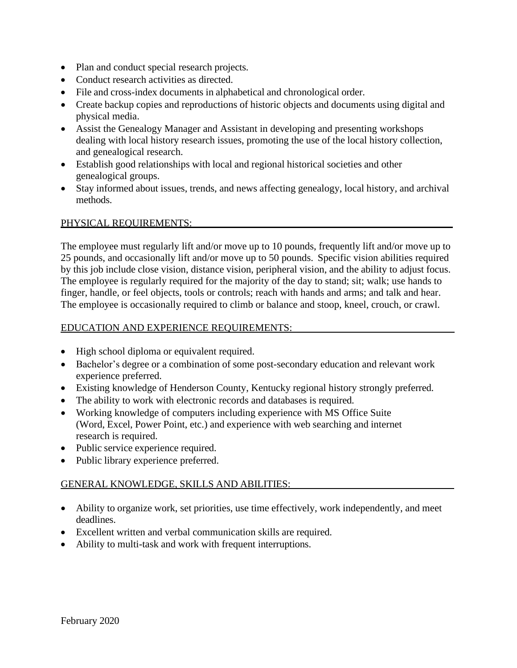- Plan and conduct special research projects.
- Conduct research activities as directed.
- File and cross-index documents in alphabetical and chronological order.
- Create backup copies and reproductions of historic objects and documents using digital and physical media.
- Assist the Genealogy Manager and Assistant in developing and presenting workshops dealing with local history research issues, promoting the use of the local history collection, and genealogical research.
- Establish good relationships with local and regional historical societies and other genealogical groups.
- Stay informed about issues, trends, and news affecting genealogy, local history, and archival methods.

#### PHYSICAL REQUIREMENTS:

The employee must regularly lift and/or move up to 10 pounds, frequently lift and/or move up to 25 pounds, and occasionally lift and/or move up to 50 pounds. Specific vision abilities required by this job include close vision, distance vision, peripheral vision, and the ability to adjust focus. The employee is regularly required for the majority of the day to stand; sit; walk; use hands to finger, handle, or feel objects, tools or controls; reach with hands and arms; and talk and hear. The employee is occasionally required to climb or balance and stoop, kneel, crouch, or crawl.

#### EDUCATION AND EXPERIENCE REQUIREMENTS:

- High school diploma or equivalent required.
- Bachelor's degree or a combination of some post-secondary education and relevant work experience preferred.
- Existing knowledge of Henderson County, Kentucky regional history strongly preferred.
- The ability to work with electronic records and databases is required.
- Working knowledge of computers including experience with MS Office Suite (Word, Excel, Power Point, etc.) and experience with web searching and internet research is required.
- Public service experience required.
- Public library experience preferred.

# GENERAL KNOWLEDGE, SKILLS AND ABILITIES:

- Ability to organize work, set priorities, use time effectively, work independently, and meet deadlines.
- Excellent written and verbal communication skills are required.
- Ability to multi-task and work with frequent interruptions.